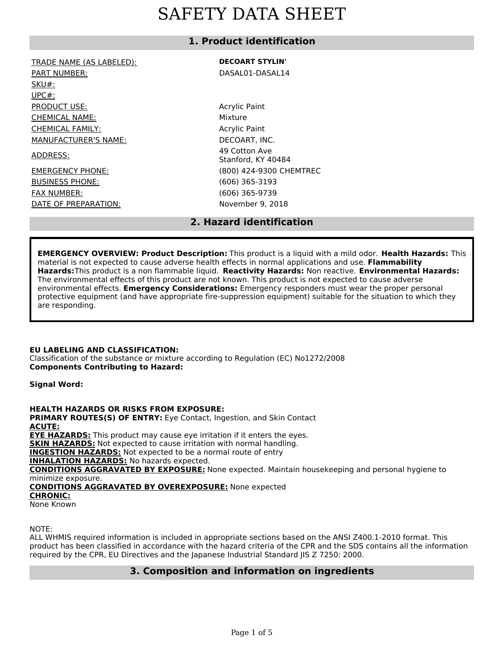# **1. Product identification**

| TRADE NAME (AS LABELED):    | <b>DECOART STYLIN'</b>              |  |  |
|-----------------------------|-------------------------------------|--|--|
| <b>PART NUMBER:</b>         | DASAL01-DASAL14                     |  |  |
| SKU#:                       |                                     |  |  |
| $UPC#$ :                    |                                     |  |  |
| PRODUCT USE:                | <b>Acrylic Paint</b>                |  |  |
| <b>CHEMICAL NAME:</b>       | Mixture                             |  |  |
| <b>CHEMICAL FAMILY:</b>     | <b>Acrylic Paint</b>                |  |  |
| <b>MANUFACTURER'S NAME:</b> | DECOART. INC.                       |  |  |
| ADDRESS:                    | 49 Cotton Ave<br>Stanford, KY 40484 |  |  |
| <b>EMERGENCY PHONE:</b>     | (800) 424-9300 CH                   |  |  |
| <b>BUSINESS PHONE:</b>      | $(606)$ 365-3193                    |  |  |
| <b>FAX NUMBER:</b>          | $(606)$ 365-9739                    |  |  |
| DATE OF PREPARATION:        | November 9, 2018                    |  |  |
|                             |                                     |  |  |

DART, INC. ptton Ave ord, KY 40484 424-9300 CHEMTREC 365-3193 365-9739 mber 9, 2018

# **2. Hazard identification**

**EMERGENCY OVERVIEW: Product Description:** This product is a liquid with a mild odor. **Health Hazards:** This material is not expected to cause adverse health effects in normal applications and use. **Flammability Hazards:**This product is a non flammable liquid. **Reactivity Hazards:** Non reactive. **Environmental Hazards:** The environmental effects of this product are not known. This product is not expected to cause adverse environmental effects. **Emergency Considerations:** Emergency responders must wear the proper personal protective equipment (and have appropriate fire-suppression equipment) suitable for the situation to which they are responding.

## **EU LABELING AND CLASSIFICATION:**

Classification of the substance or mixture according to Regulation (EC) No1272/2008 **Components Contributing to Hazard:**

**Signal Word:**

**HEALTH HAZARDS OR RISKS FROM EXPOSURE: PRIMARY ROUTES(S) OF ENTRY:** Eye Contact, Ingestion, and Skin Contact **ACUTE: EYE HAZARDS:** This product may cause eye irritation if it enters the eyes. **SKIN HAZARDS:** Not expected to cause irritation with normal handling. **INGESTION HAZARDS:** Not expected to be a normal route of entry **INHALATION HAZARDS:** No hazards expected. **CONDITIONS AGGRAVATED BY EXPOSURE:** None expected. Maintain housekeeping and personal hygiene to minimize exposure. **CONDITIONS AGGRAVATED BY OVEREXPOSURE:** None expected **CHRONIC:** None Known

NOTE:

ALL WHMIS required information is included in appropriate sections based on the ANSI Z400.1-2010 format. This product has been classified in accordance with the hazard criteria of the CPR and the SDS contains all the information required by the CPR, EU Directives and the Japanese Industrial Standard JIS Z 7250: 2000.

## **3. Composition and information on ingredients**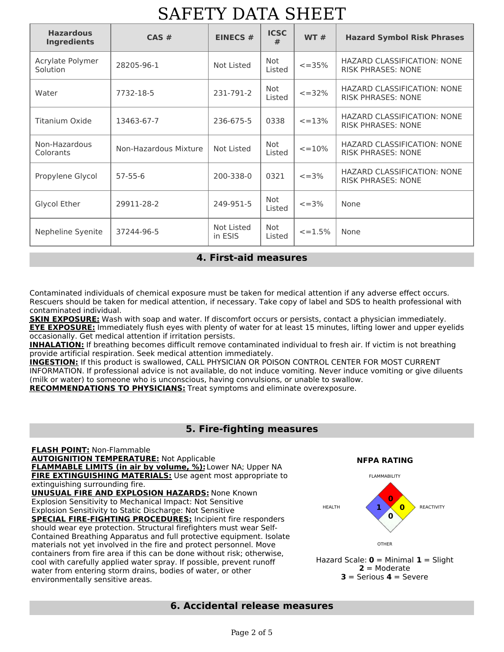| <b>Hazardous</b><br><b>Ingredients</b> | CAS#                  | <b>EINECS #</b>       | <b>ICSC</b><br># | WT#           | <b>Hazard Symbol Risk Phrases</b>                               |  |  |  |  |  |
|----------------------------------------|-----------------------|-----------------------|------------------|---------------|-----------------------------------------------------------------|--|--|--|--|--|
| Acrylate Polymer<br>Solution           | 28205-96-1            | Not Listed            | Not<br>Listed    | $\leq$ = 35%  | <b>HAZARD CLASSIFICATION: NONE</b><br><b>RISK PHRASES: NONE</b> |  |  |  |  |  |
| Water                                  | 7732-18-5             | 231-791-2             | Not<br>Listed    | $\leq$ = 32%  | HAZARD CLASSIFICATION: NONE<br><b>RISK PHRASES: NONE</b>        |  |  |  |  |  |
| Titanium Oxide                         | 13463-67-7            | 236-675-5             | 0338             | $\leq$ = 13%  | HAZARD CLASSIFICATION: NONE<br><b>RISK PHRASES: NONE</b>        |  |  |  |  |  |
| Non-Hazardous<br>Colorants             | Non-Hazardous Mixture | Not Listed            | Not<br>Listed    | $\leq$ = 10%  | <b>HAZARD CLASSIFICATION: NONE</b><br><b>RISK PHRASES: NONE</b> |  |  |  |  |  |
| Propylene Glycol                       | $57 - 55 - 6$         | 200-338-0             | 0321             | $\leq$ = 3%   | <b>HAZARD CLASSIFICATION: NONE</b><br><b>RISK PHRASES: NONE</b> |  |  |  |  |  |
| Glycol Ether                           | 29911-28-2            | 249-951-5             | Not<br>Listed    | $\leq$ = 3%   | None                                                            |  |  |  |  |  |
| Nepheline Syenite                      | 37244-96-5            | Not Listed<br>in ESIS | Not<br>Listed    | $\leq$ = 1.5% | None                                                            |  |  |  |  |  |

# **4. First-aid measures**

Contaminated individuals of chemical exposure must be taken for medical attention if any adverse effect occurs. Rescuers should be taken for medical attention, if necessary. Take copy of label and SDS to health professional with contaminated individual.

**SKIN EXPOSURE:** Wash with soap and water. If discomfort occurs or persists, contact a physician immediately. **EYE EXPOSURE:** Immediately flush eyes with plenty of water for at least 15 minutes, lifting lower and upper eyelids occasionally. Get medical attention if irritation persists.

**INHALATION:** If breathing becomes difficult remove contaminated individual to fresh air. If victim is not breathing provide artificial respiration. Seek medical attention immediately.

**INGESTION:** If this product is swallowed, CALL PHYSICIAN OR POISON CONTROL CENTER FOR MOST CURRENT INFORMATION. If professional advice is not available, do not induce vomiting. Never induce vomiting or give diluents (milk or water) to someone who is unconscious, having convulsions, or unable to swallow. **RECOMMENDATIONS TO PHYSICIANS:** Treat symptoms and eliminate overexposure.

## **5. Fire-fighting measures**

**FLASH POINT:** Non-Flammable **AUTOIGNITION TEMPERATURE:** Not Applicable **FLAMMABLE LIMITS (in air by volume, %):**Lower NA; Upper NA **FIRE EXTINGUISHING MATERIALS:** Use agent most appropriate to extinguishing surrounding fire. **UNUSUAL FIRE AND EXPLOSION HAZARDS:** None Known Explosion Sensitivity to Mechanical Impact: Not Sensitive Explosion Sensitivity to Static Discharge: Not Sensitive **SPECIAL FIRE-FIGHTING PROCEDURES:** Incipient fire responders should wear eye protection. Structural firefighters must wear Self-Contained Breathing Apparatus and full protective equipment. Isolate materials not yet involved in the fire and protect personnel. Move containers from fire area if this can be done without risk; otherwise, cool with carefully applied water spray. If possible, prevent runoff water from entering storm drains, bodies of water, or other environmentally sensitive areas.



**2** = Moderate **3** = Serious **4** = Severe

## **6. Accidental release measures**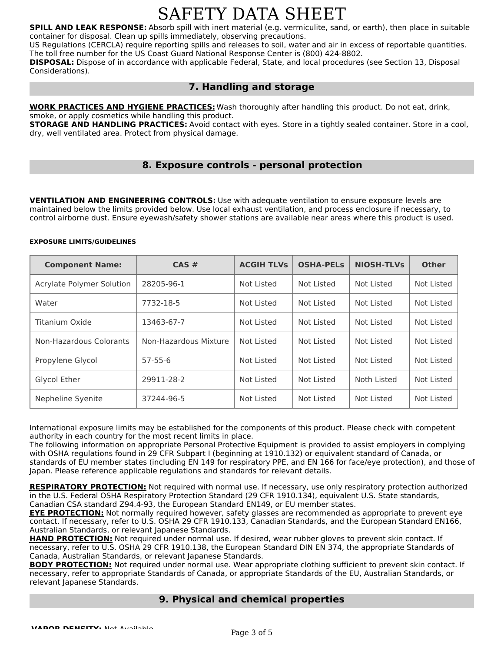**SPILL AND LEAK RESPONSE:** Absorb spill with inert material (e.g. vermiculite, sand, or earth), then place in suitable container for disposal. Clean up spills immediately, observing precautions.

US Regulations (CERCLA) require reporting spills and releases to soil, water and air in excess of reportable quantities. The toll free number for the US Coast Guard National Response Center is (800) 424-8802.

**DISPOSAL:** Dispose of in accordance with applicable Federal, State, and local procedures (see Section 13, Disposal Considerations).

# **7. Handling and storage**

**WORK PRACTICES AND HYGIENE PRACTICES:** Wash thoroughly after handling this product. Do not eat, drink, smoke, or apply cosmetics while handling this product.

**STORAGE AND HANDLING PRACTICES:** Avoid contact with eyes. Store in a tightly sealed container. Store in a cool, dry, well ventilated area. Protect from physical damage.

## **8. Exposure controls - personal protection**

**VENTILATION AND ENGINEERING CONTROLS:** Use with adequate ventilation to ensure exposure levels are maintained below the limits provided below. Use local exhaust ventilation, and process enclosure if necessary, to control airborne dust. Ensure eyewash/safety shower stations are available near areas where this product is used.

### **EXPOSURE LIMITS/GUIDELINES**

| <b>Component Name:</b>    | $CAS \#$              | <b>ACGIH TLVS</b> | <b>OSHA-PELS</b> | <b>NIOSH-TLVs</b> | <b>Other</b> |
|---------------------------|-----------------------|-------------------|------------------|-------------------|--------------|
| Acrylate Polymer Solution | 28205-96-1            | Not Listed        | Not Listed       | Not Listed        | Not Listed   |
| Water                     | 7732-18-5             | Not Listed        | Not Listed       | Not Listed        | Not Listed   |
| Titanium Oxide            | 13463-67-7            | Not Listed        | Not Listed       | Not Listed        | Not Listed   |
| Non-Hazardous Colorants   | Non-Hazardous Mixture | Not Listed        | Not Listed       | Not Listed        | Not Listed   |
| Propylene Glycol          | $57 - 55 - 6$         | Not Listed        | Not Listed       | Not Listed        | Not Listed   |
| Glycol Ether              | 29911-28-2            | Not Listed        | Not Listed       | Noth Listed       | Not Listed   |
| Nepheline Syenite         | 37244-96-5            | Not Listed        | Not Listed       | Not Listed        | Not Listed   |

International exposure limits may be established for the components of this product. Please check with competent authority in each country for the most recent limits in place.

The following information on appropriate Personal Protective Equipment is provided to assist employers in complying with OSHA regulations found in 29 CFR Subpart I (beginning at 1910.132) or equivalent standard of Canada, or standards of EU member states (including EN 149 for respiratory PPE, and EN 166 for face/eye protection), and those of Japan. Please reference applicable regulations and standards for relevant details.

**RESPIRATORY PROTECTION:** Not required with normal use. If necessary, use only respiratory protection authorized in the U.S. Federal OSHA Respiratory Protection Standard (29 CFR 1910.134), equivalent U.S. State standards, Canadian CSA standard Z94.4-93, the European Standard EN149, or EU member states.

**EYE PROTECTION:** Not normally required however, safety glasses are recommended as appropriate to prevent eye contact. If necessary, refer to U.S. OSHA 29 CFR 1910.133, Canadian Standards, and the European Standard EN166, Australian Standards, or relevant Japanese Standards.

**HAND PROTECTION:** Not required under normal use. If desired, wear rubber gloves to prevent skin contact. If necessary, refer to U.S. OSHA 29 CFR 1910.138, the European Standard DIN EN 374, the appropriate Standards of Canada, Australian Standards, or relevant Japanese Standards.

**BODY PROTECTION:** Not required under normal use. Wear appropriate clothing sufficient to prevent skin contact. If necessary, refer to appropriate Standards of Canada, or appropriate Standards of the EU, Australian Standards, or relevant Japanese Standards.

## **9. Physical and chemical properties**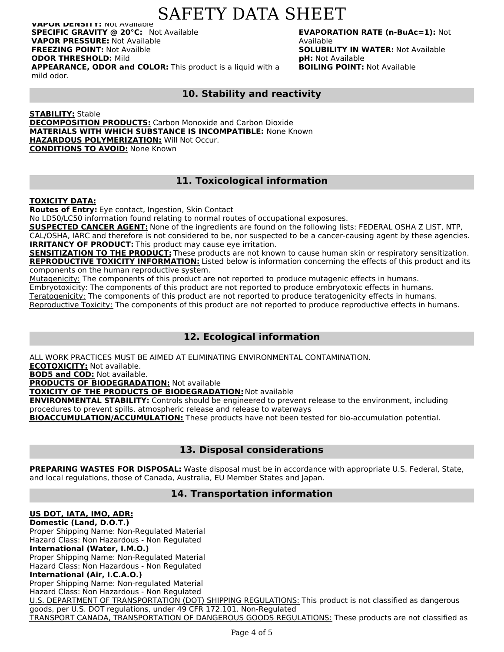**VAPOR DENSITY:** Not Available **SPECIFIC GRAVITY @ 20°C:** Not Available **VAPOR PRESSURE:** Not Available **FREEZING POINT:** Not Availble **ODOR THRESHOLD:** Mild **APPEARANCE, ODOR and COLOR:** This product is a liquid with a mild odor.

**EVAPORATION RATE (n-BuAc=1):** Not Available **SOLUBILITY IN WATER:** Not Available **pH:** Not Available **BOILING POINT:** Not Available

# **10. Stability and reactivity**

**STABILITY:** Stable **DECOMPOSITION PRODUCTS:** Carbon Monoxide and Carbon Dioxide **MATERIALS WITH WHICH SUBSTANCE IS INCOMPATIBLE:** None Known **HAZARDOUS POLYMERIZATION:** Will Not Occur. **CONDITIONS TO AVOID:** None Known

# **11. Toxicological information**

**TOXICITY DATA:**

**Routes of Entry:** Eye contact, Ingestion, Skin Contact

No LD50/LC50 information found relating to normal routes of occupational exposures.

**SUSPECTED CANCER AGENT:** None of the ingredients are found on the following lists: FEDERAL OSHA Z LIST, NTP, CAL/OSHA, IARC and therefore is not considered to be, nor suspected to be a cancer-causing agent by these agencies. **IRRITANCY OF PRODUCT:** This product may cause eye irritation.

**SENSITIZATION TO THE PRODUCT:** These products are not known to cause human skin or respiratory sensitization. **REPRODUCTIVE TOXICITY INFORMATION:** Listed below is information concerning the effects of this product and its components on the human reproductive system.

Mutagenicity: The components of this product are not reported to produce mutagenic effects in humans.

Embryotoxicity: The components of this product are not reported to produce embryotoxic effects in humans.

Teratogenicity: The components of this product are not reported to produce teratogenicity effects in humans.

Reproductive Toxicity: The components of this product are not reported to produce reproductive effects in humans.

# **12. Ecological information**

ALL WORK PRACTICES MUST BE AIMED AT ELIMINATING ENVIRONMENTAL CONTAMINATION.

**ECOTOXICITY:** Not available.

**BOD5 and COD:** Not available.

**PRODUCTS OF BIODEGRADATION:** Not available

**TOXICITY OF THE PRODUCTS OF BIODEGRADATION:** Not available

**ENVIRONMENTAL STABILITY:** Controls should be engineered to prevent release to the environment, including procedures to prevent spills, atmospheric release and release to waterways

**BIOACCUMULATION/ACCUMULATION:** These products have not been tested for bio-accumulation potential.

## **13. Disposal considerations**

**PREPARING WASTES FOR DISPOSAL:** Waste disposal must be in accordance with appropriate U.S. Federal, State, and local regulations, those of Canada, Australia, EU Member States and Japan.

# **14. Transportation information**

### **US DOT, IATA, IMO, ADR: Domestic (Land, D.O.T.)** Proper Shipping Name: Non-Regulated Material Hazard Class: Non Hazardous - Non Regulated **International (Water, I.M.O.)** Proper Shipping Name: Non-Regulated Material Hazard Class: Non Hazardous - Non Regulated **International (Air, I.C.A.O.)** Proper Shipping Name: Non-regulated Material Hazard Class: Non Hazardous - Non Regulated U.S. DEPARTMENT OF TRANSPORTATION (DOT) SHIPPING REGULATIONS: This product is not classified as dangerous goods, per U.S. DOT regulations, under 49 CFR 172.101. Non-Regulated TRANSPORT CANADA, TRANSPORTATION OF DANGEROUS GOODS REGULATIONS: These products are not classified as